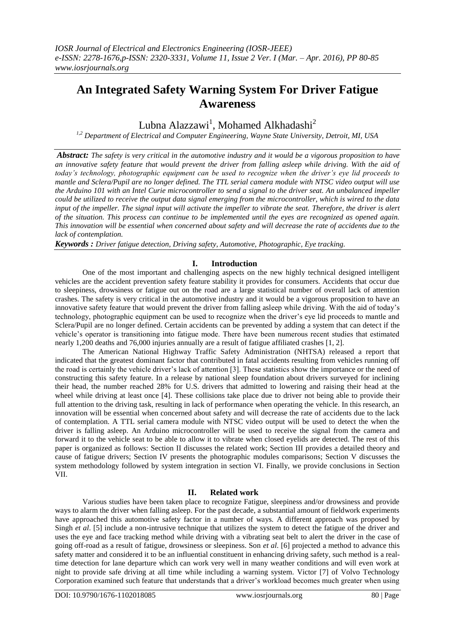# **An Integrated Safety Warning System For Driver Fatigue Awareness**

Lubna Alazzawi<sup>1</sup>, Mohamed Alkhadashi<sup>2</sup>

*1,2 Department of Electrical and Computer Engineering, Wayne State University, Detroit, MI, USA*

*Abstract: The safety is very critical in the automotive industry and it would be a vigorous proposition to have an innovative safety feature that would prevent the driver from falling asleep while driving. With the aid of today's technology, photographic equipment can be used to recognize when the driver's eye lid proceeds to mantle and Sclera/Pupil are no longer defined. The TTL serial camera module with NTSC video output will use the Arduino 101 with an Intel Curie microcontroller to send a signal to the driver seat. An unbalanced impeller could be utilized to receive the output data signal emerging from the microcontroller, which is wired to the data input of the impeller. The signal input will activate the impeller to vibrate the seat. Therefore, the driver is alert of the situation. This process can continue to be implemented until the eyes are recognized as opened again. This innovation will be essential when concerned about safety and will decrease the rate of accidents due to the lack of contemplation.*

*Keywords : Driver fatigue detection, Driving safety, Automotive, Photographic, Eye tracking.*

# **I. Introduction**

One of the most important and challenging aspects on the new highly technical designed intelligent vehicles are the accident prevention safety feature stability it provides for consumers. Accidents that occur due to sleepiness, drowsiness or fatigue out on the road are a large statistical number of overall lack of attention crashes. The safety is very critical in the automotive industry and it would be a vigorous proposition to have an innovative safety feature that would prevent the driver from falling asleep while driving. With the aid of today's technology, photographic equipment can be used to recognize when the driver's eye lid proceeds to mantle and Sclera/Pupil are no longer defined. Certain accidents can be prevented by adding a system that can detect if the vehicle's operator is transitioning into fatigue mode. There have been numerous recent studies that estimated nearly 1,200 deaths and 76,000 injuries annually are a result of fatigue affiliated crashes [1, 2].

The American National Highway Traffic Safety Administration (NHTSA) released a report that indicated that the greatest dominant factor that contributed in fatal accidents resulting from vehicles running off the road is certainly the vehicle driver's lack of attention [3]. These statistics show the importance or the need of constructing this safety feature. In a release by national sleep foundation about drivers surveyed for inclining their head, the number reached 28% for U.S. drivers that admitted to lowering and raising their head at the wheel while driving at least once [4]. These collisions take place due to driver not being able to provide their full attention to the driving task, resulting in lack of performance when operating the vehicle. In this research, an innovation will be essential when concerned about safety and will decrease the rate of accidents due to the lack of contemplation. A TTL serial camera module with NTSC video output will be used to detect the when the driver is falling asleep. An Arduino microcontroller will be used to receive the signal from the camera and forward it to the vehicle seat to be able to allow it to vibrate when closed eyelids are detected. The rest of this paper is organized as follows: Section II discusses the related work; Section III provides a detailed theory and cause of fatigue drivers; Section IV presents the photographic modules comparisons; Section V discusses the system methodology followed by system integration in section VI. Finally, we provide conclusions in Section VII.

## **II. Related work**

Various studies have been taken place to recognize Fatigue, sleepiness and/or drowsiness and provide ways to alarm the driver when falling asleep. For the past decade, a substantial amount of fieldwork experiments have approached this automotive safety factor in a number of ways. A different approach was proposed by Singh *et al*. [5] include a non-intrusive technique that utilizes the system to detect the fatigue of the driver and uses the eye and face tracking method while driving with a vibrating seat belt to alert the driver in the case of going off-road as a result of fatigue, drowsiness or sleepiness. Son *et al*. [6] projected a method to advance this safety matter and considered it to be an influential constituent in enhancing driving safety, such method is a realtime detection for lane departure which can work very well in many weather conditions and will even work at night to provide safe driving at all time while including a warning system. Victor [7] of Volvo Technology Corporation examined such feature that understands that a driver's workload becomes much greater when using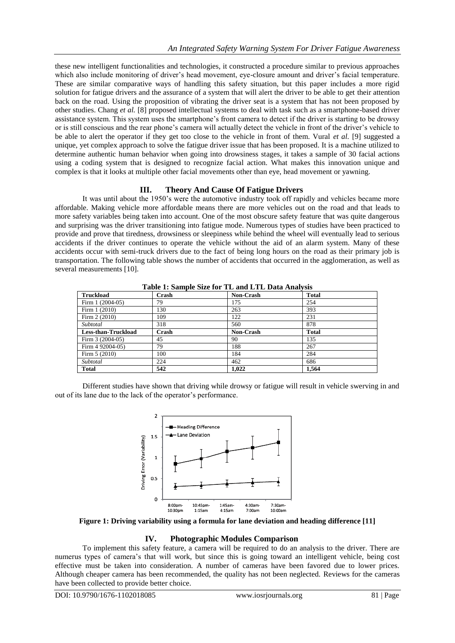these new intelligent functionalities and technologies, it constructed a procedure similar to previous approaches which also include monitoring of driver's head movement, eye-closure amount and driver's facial temperature. These are similar comparative ways of handling this safety situation, but this paper includes a more rigid solution for fatigue drivers and the assurance of a system that will alert the driver to be able to get their attention back on the road. Using the proposition of vibrating the driver seat is a system that has not been proposed by other studies. Chang *et al.* [8] proposed intellectual systems to deal with task such as a smartphone-based driver assistance system. This system uses the smartphone's front camera to detect if the driver is starting to be drowsy or is still conscious and the rear phone's camera will actually detect the vehicle in front of the driver's vehicle to be able to alert the operator if they get too close to the vehicle in front of them. Vural *et al.* [9] suggested a unique, yet complex approach to solve the fatigue driver issue that has been proposed. It is a machine utilized to determine authentic human behavior when going into drowsiness stages, it takes a sample of 30 facial actions using a coding system that is designed to recognize facial action. What makes this innovation unique and complex is that it looks at multiple other facial movements other than eye, head movement or yawning.

## **III. Theory And Cause Of Fatigue Drivers**

It was until about the 1950's were the automotive industry took off rapidly and vehicles became more affordable. Making vehicle more affordable means there are more vehicles out on the road and that leads to more safety variables being taken into account. One of the most obscure safety feature that was quite dangerous and surprising was the driver transitioning into fatigue mode. Numerous types of studies have been practiced to provide and prove that tiredness, drowsiness or sleepiness while behind the wheel will eventually lead to serious accidents if the driver continues to operate the vehicle without the aid of an alarm system. Many of these accidents occur with semi-truck drivers due to the fact of being long hours on the road as their primary job is transportation. The following table shows the number of accidents that occurred in the agglomeration, as well as several measurements [10].

| Table 1. Sample Size for TL and LTL Data Analysis |       |           |              |  |
|---------------------------------------------------|-------|-----------|--------------|--|
| <b>Truckload</b>                                  | Crash | Non-Crash | <b>Total</b> |  |
| Firm 1 (2004-05)                                  | 79    | 175       | 254          |  |
| Firm 1 (2010)                                     | 130   | 263       | 393          |  |
| Firm 2 (2010)                                     | 109   | 122       | 231          |  |
| Subtotal                                          | 318   | 560       | 878          |  |
| Less-than-Truckload                               | Crash | Non-Crash | <b>Total</b> |  |
| Firm $3(2004-05)$                                 | 45    | 90        | 135          |  |
| Firm 4 92004-05)                                  | 79    | 188       | 267          |  |
| Firm $5(2010)$                                    | 100   | 184       | 284          |  |
| Subtotal                                          | 224   | 462       | 686          |  |
| <b>Total</b>                                      | 542   | 1.022     | 1.564        |  |

**Table 1: Sample Size for TL and LTL Data Analysis**

Different studies have shown that driving while drowsy or fatigue will result in vehicle swerving in and out of its lane due to the lack of the operator's performance.



**Figure 1: Driving variability using a formula for lane deviation and heading difference [11]**

#### **IV. Photographic Modules Comparison**

To implement this safety feature, a camera will be required to do an analysis to the driver. There are numerus types of camera's that will work, but since this is going toward an intelligent vehicle, being cost effective must be taken into consideration. A number of cameras have been favored due to lower prices. Although cheaper camera has been recommended, the quality has not been neglected. Reviews for the cameras have been collected to provide better choice.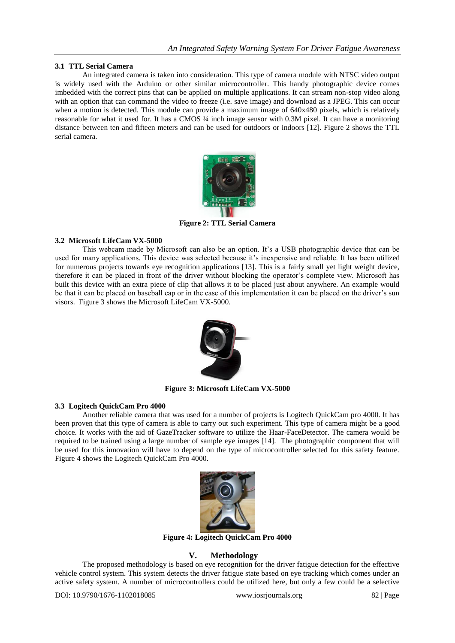# **3.1 TTL Serial Camera**

An integrated camera is taken into consideration. This type of camera module with NTSC video output is widely used with the Arduino or other similar microcontroller. This handy photographic device comes imbedded with the correct pins that can be applied on multiple applications. It can stream non-stop video along with an option that can command the video to freeze (i.e. save image) and download as a JPEG. This can occur when a motion is detected. This module can provide a maximum image of 640x480 pixels, which is relatively reasonable for what it used for. It has a CMOS ¼ inch image sensor with 0.3M pixel. It can have a monitoring distance between ten and fifteen meters and can be used for outdoors or indoors [12]. Figure 2 shows the TTL serial camera.



**Figure 2: TTL Serial Camera**

# **3.2 Microsoft LifeCam VX-5000**

This webcam made by Microsoft can also be an option. It's a USB photographic device that can be used for many applications. This device was selected because it's inexpensive and reliable. It has been utilized for numerous projects towards eye recognition applications [13]. This is a fairly small yet light weight device, therefore it can be placed in front of the driver without blocking the operator's complete view. Microsoft has built this device with an extra piece of clip that allows it to be placed just about anywhere. An example would be that it can be placed on baseball cap or in the case of this implementation it can be placed on the driver's sun visors. Figure 3 shows the Microsoft LifeCam VX-5000.



**Figure 3: Microsoft LifeCam VX-5000**

## **3.3 Logitech QuickCam Pro 4000**

Another reliable camera that was used for a number of projects is Logitech QuickCam pro 4000. It has been proven that this type of camera is able to carry out such experiment. This type of camera might be a good choice. It works with the aid of GazeTracker software to utilize the Haar-FaceDetector. The camera would be required to be trained using a large number of sample eye images [14]. The photographic component that will be used for this innovation will have to depend on the type of microcontroller selected for this safety feature. Figure 4 shows the Logitech QuickCam Pro 4000.



**Figure 4: Logitech QuickCam Pro 4000**

# **V. Methodology**

The proposed methodology is based on eye recognition for the driver fatigue detection for the effective vehicle control system. This system detects the driver fatigue state based on eye tracking which comes under an active safety system. A number of microcontrollers could be utilized here, but only a few could be a selective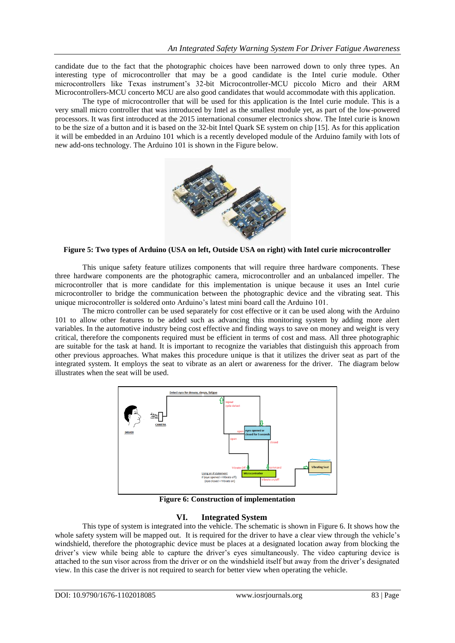candidate due to the fact that the photographic choices have been narrowed down to only three types. An interesting type of microcontroller that may be a good candidate is the Intel curie module. Other microcontrollers like Texas instrument's 32-bit Microcontroller-MCU piccolo Micro and their ARM Microcontrollers-MCU concerto MCU are also good candidates that would accommodate with this application.

The type of microcontroller that will be used for this application is the Intel curie module. This is a very small micro controller that was introduced by Intel as the smallest module yet, as part of the low-powered processors. It was first introduced at the 2015 international consumer electronics show. The Intel curie is known to be the size of a button and it is based on the 32-bit Intel Quark SE system on chip [15]. As for this application it will be embedded in an Arduino 101 which is a recently developed module of the Arduino family with lots of new add-ons technology. The Arduino 101 is shown in the Figure below.



#### **Figure 5: Two types of Arduino (USA on left, Outside USA on right) with Intel curie microcontroller**

This unique safety feature utilizes components that will require three hardware components. These three hardware components are the photographic camera, microcontroller and an unbalanced impeller. The microcontroller that is more candidate for this implementation is unique because it uses an Intel curie microcontroller to bridge the communication between the photographic device and the vibrating seat. This unique microcontroller is soldered onto Arduino's latest mini board call the Arduino 101.

The micro controller can be used separately for cost effective or it can be used along with the Arduino 101 to allow other features to be added such as advancing this monitoring system by adding more alert variables. In the automotive industry being cost effective and finding ways to save on money and weight is very critical, therefore the components required must be efficient in terms of cost and mass. All three photographic are suitable for the task at hand. It is important to recognize the variables that distinguish this approach from other previous approaches. What makes this procedure unique is that it utilizes the driver seat as part of the integrated system. It employs the seat to vibrate as an alert or awareness for the driver. The diagram below illustrates when the seat will be used.



**Figure 6: Construction of implementation**

## **VI. Integrated System**

This type of system is integrated into the vehicle. The schematic is shown in Figure 6. It shows how the whole safety system will be mapped out. It is required for the driver to have a clear view through the vehicle's windshield, therefore the photographic device must be places at a designated location away from blocking the driver's view while being able to capture the driver's eyes simultaneously. The video capturing device is attached to the sun visor across from the driver or on the windshield itself but away from the driver's designated view. In this case the driver is not required to search for better view when operating the vehicle.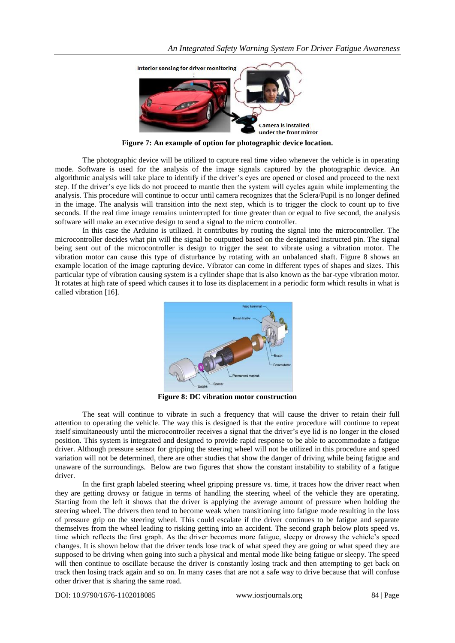

**Figure 7: An example of option for photographic device location.**

The photographic device will be utilized to capture real time video whenever the vehicle is in operating mode. Software is used for the analysis of the image signals captured by the photographic device. An algorithmic analysis will take place to identify if the driver's eyes are opened or closed and proceed to the next step. If the driver's eye lids do not proceed to mantle then the system will cycles again while implementing the analysis. This procedure will continue to occur until camera recognizes that the Sclera/Pupil is no longer defined in the image. The analysis will transition into the next step, which is to trigger the clock to count up to five seconds. If the real time image remains uninterrupted for time greater than or equal to five second, the analysis software will make an executive design to send a signal to the micro controller.

In this case the Arduino is utilized. It contributes by routing the signal into the microcontroller. The microcontroller decides what pin will the signal be outputted based on the designated instructed pin. The signal being sent out of the microcontroller is design to trigger the seat to vibrate using a vibration motor. The vibration motor can cause this type of disturbance by rotating with an unbalanced shaft. Figure 8 shows an example location of the image capturing device. Vibrator can come in different types of shapes and sizes. This particular type of vibration causing system is a cylinder shape that is also known as the bar-type vibration motor. It rotates at high rate of speed which causes it to lose its displacement in a periodic form which results in what is called vibration [16].



**Figure 8: DC vibration motor construction**

The seat will continue to vibrate in such a frequency that will cause the driver to retain their full attention to operating the vehicle. The way this is designed is that the entire procedure will continue to repeat itself simultaneously until the microcontroller receives a signal that the driver's eye lid is no longer in the closed position. This system is integrated and designed to provide rapid response to be able to accommodate a fatigue driver. Although pressure sensor for gripping the steering wheel will not be utilized in this procedure and speed variation will not be determined, there are other studies that show the danger of driving while being fatigue and unaware of the surroundings. Below are two figures that show the constant instability to stability of a fatigue driver.

In the first graph labeled steering wheel gripping pressure vs. time, it traces how the driver react when they are getting drowsy or fatigue in terms of handling the steering wheel of the vehicle they are operating. Starting from the left it shows that the driver is applying the average amount of pressure when holding the steering wheel. The drivers then tend to become weak when transitioning into fatigue mode resulting in the loss of pressure grip on the steering wheel. This could escalate if the driver continues to be fatigue and separate themselves from the wheel leading to risking getting into an accident. The second graph below plots speed vs. time which reflects the first graph. As the driver becomes more fatigue, sleepy or drowsy the vehicle's speed changes. It is shown below that the driver tends lose track of what speed they are going or what speed they are supposed to be driving when going into such a physical and mental mode like being fatigue or sleepy. The speed will then continue to oscillate because the driver is constantly losing track and then attempting to get back on track then losing track again and so on. In many cases that are not a safe way to drive because that will confuse other driver that is sharing the same road.